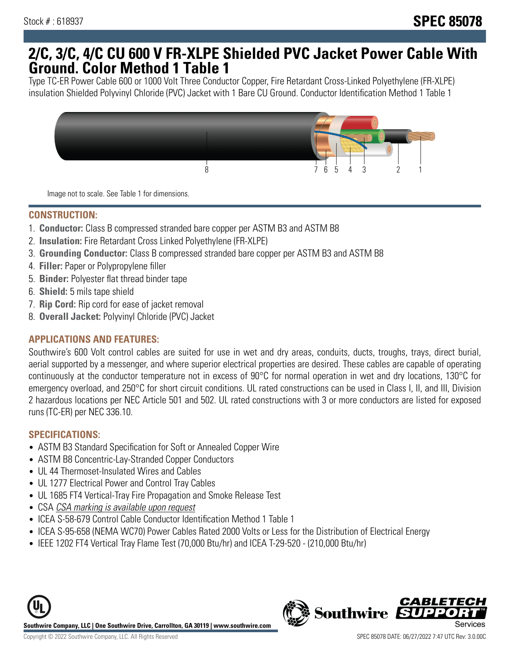## **2/C, 3/C, 4/C CU 600 V FR-XLPE Shielded PVC Jacket Power Cable With Ground. Color Method 1 Table 1**

Type TC-ER Power Cable 600 or 1000 Volt Three Conductor Copper, Fire Retardant Cross-Linked Polyethylene (FR-XLPE) insulation Shielded Polyvinyl Chloride (PVC) Jacket with 1 Bare CU Ground. Conductor Identification Method 1 Table 1



Image not to scale. See Table 1 for dimensions.

#### **CONSTRUCTION:**

- 1. **Conductor:** Class B compressed stranded bare copper per ASTM B3 and ASTM B8
- 2. **Insulation:** Fire Retardant Cross Linked Polyethylene (FR-XLPE)
- 3. **Grounding Conductor:** Class B compressed stranded bare copper per ASTM B3 and ASTM B8
- 4. **Filler:** Paper or Polypropylene filler
- 5. **Binder:** Polyester flat thread binder tape
- 6. **Shield:** 5 mils tape shield
- 7. **Rip Cord:** Rip cord for ease of jacket removal
- 8. **Overall Jacket:** Polyvinyl Chloride (PVC) Jacket

### **APPLICATIONS AND FEATURES:**

Southwire's 600 Volt control cables are suited for use in wet and dry areas, conduits, ducts, troughs, trays, direct burial, aerial supported by a messenger, and where superior electrical properties are desired. These cables are capable of operating continuously at the conductor temperature not in excess of 90°C for normal operation in wet and dry locations, 130°C for emergency overload, and 250°C for short circuit conditions. UL rated constructions can be used in Class I, II, and III, Division 2 hazardous locations per NEC Article 501 and 502. UL rated constructions with 3 or more conductors are listed for exposed runs (TC-ER) per NEC 336.10.

#### **SPECIFICATIONS:**

- ASTM B3 Standard Specification for Soft or Annealed Copper Wire
- ASTM B8 Concentric-Lay-Stranded Copper Conductors
- UL 44 Thermoset-Insulated Wires and Cables
- UL 1277 Electrical Power and Control Tray Cables
- UL 1685 FT4 Vertical-Tray Fire Propagation and Smoke Release Test
- CSA CSA marking is available upon request
- ICEA S-58-679 Control Cable Conductor Identification Method 1 Table 1
- ICEA S-95-658 (NEMA WC70) Power Cables Rated 2000 Volts or Less for the Distribution of Electrical Energy
- IEEE 1202 FT4 Vertical Tray Flame Test (70,000 Btu/hr) and ICEA T-29-520 (210,000 Btu/hr)



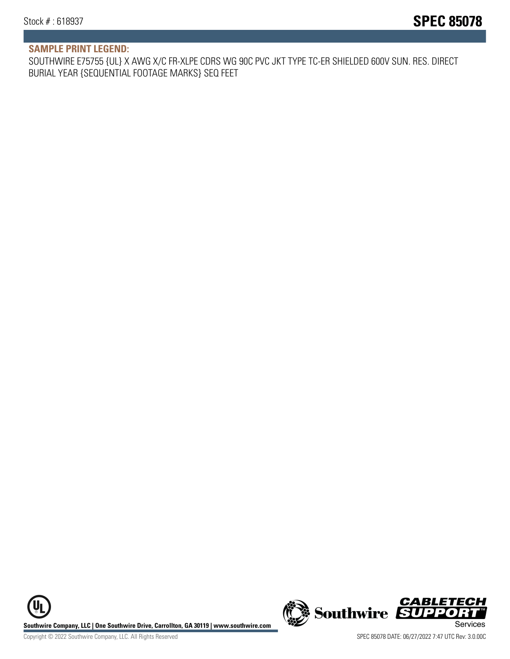#### **SAMPLE PRINT LEGEND:**

SOUTHWIRE E75755 {UL} X AWG X/C FR-XLPE CDRS WG 90C PVC JKT TYPE TC-ER SHIELDED 600V SUN. RES. DIRECT BURIAL YEAR {SEQUENTIAL FOOTAGE MARKS} SEQ FEET

**U Southwire Company, LLC | One Southwire Drive, Carrollton, GA 30119 | www.southwire.com (New Southwire SUPPORTI**